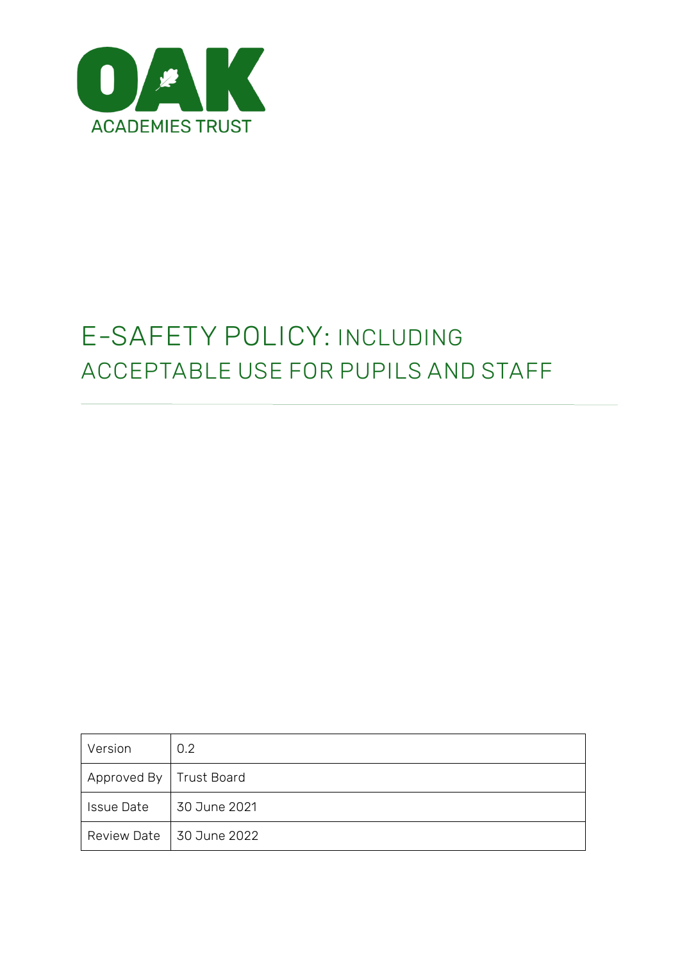

# **E-SAFETY POLICY: INCLUDING ACCEPTABLE USE FOR PUPILS AND STAFF**

| Version                   | 0.2                        |
|---------------------------|----------------------------|
| Approved By   Trust Board |                            |
| <b>Issue Date</b>         | 30 June 2021               |
|                           | Review Date   30 June 2022 |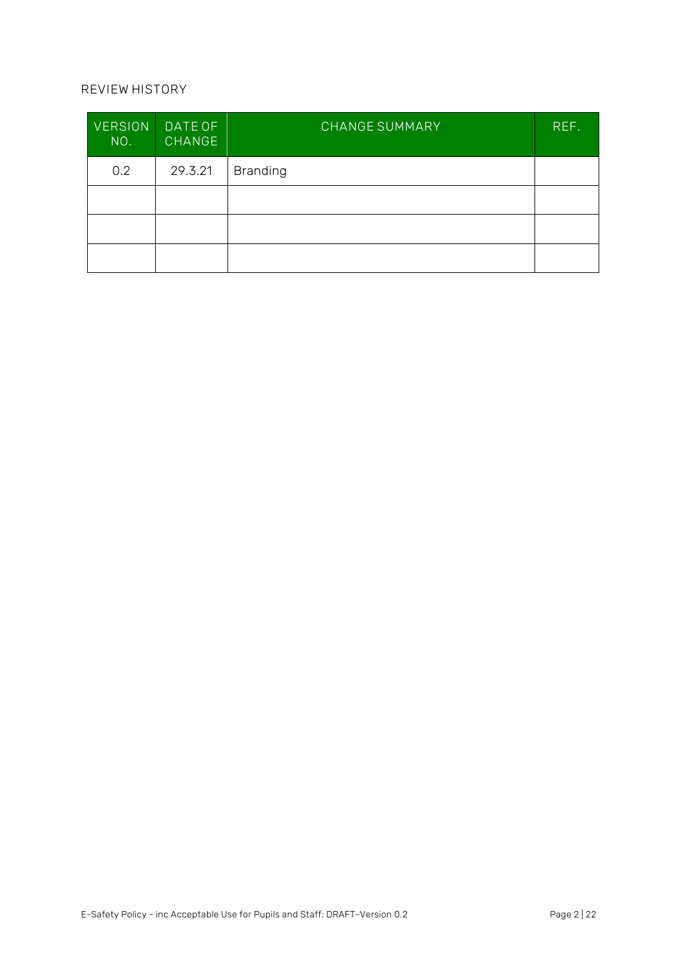#### **REVIEW HISTORY**

| <b>VERSION</b><br>NO. | DATE OF<br><b>CHANGE</b> | <b>CHANGE SUMMARY</b> | REF. |
|-----------------------|--------------------------|-----------------------|------|
| 0.2                   | 29.3.21                  | <b>Branding</b>       |      |
|                       |                          |                       |      |
|                       |                          |                       |      |
|                       |                          |                       |      |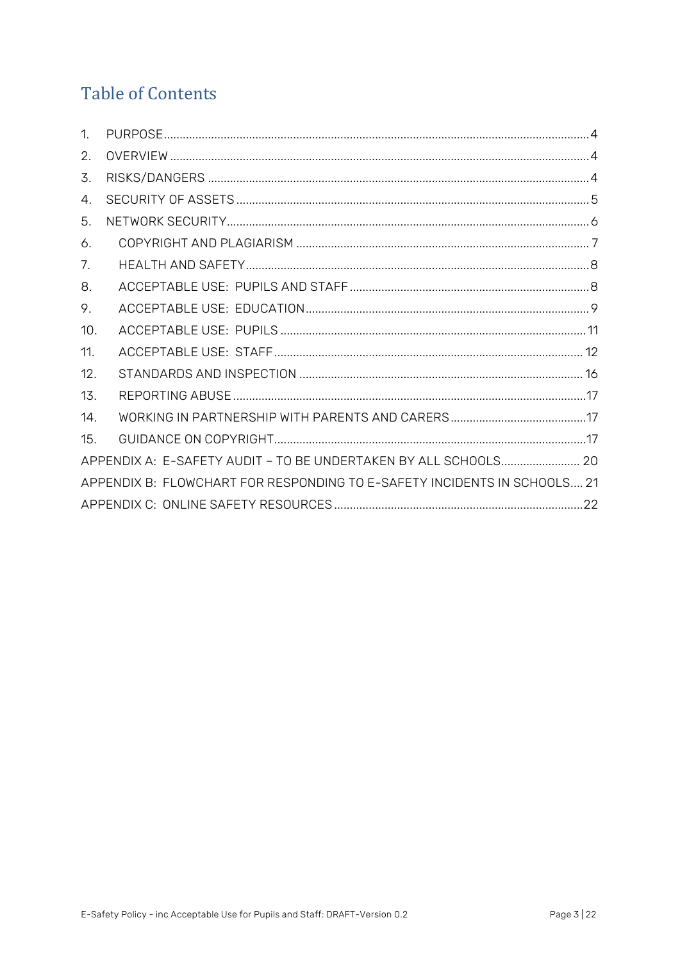## **Table of Contents**

| $\mathbf{1}$                                                             |  |  |  |
|--------------------------------------------------------------------------|--|--|--|
| 2.                                                                       |  |  |  |
| 3.                                                                       |  |  |  |
| $4_{\cdot}$                                                              |  |  |  |
| 5.                                                                       |  |  |  |
| 6.                                                                       |  |  |  |
| 7.                                                                       |  |  |  |
| 8.                                                                       |  |  |  |
| 9.                                                                       |  |  |  |
| 10.                                                                      |  |  |  |
| 11.                                                                      |  |  |  |
| 12.                                                                      |  |  |  |
| 13.                                                                      |  |  |  |
| 14.                                                                      |  |  |  |
| 15.                                                                      |  |  |  |
| APPENDIX A: E-SAFETY AUDIT - TO BE UNDERTAKEN BY ALL SCHOOLS 20          |  |  |  |
| APPENDIX B: FLOWCHART FOR RESPONDING TO E-SAFETY INCIDENTS IN SCHOOLS 21 |  |  |  |
|                                                                          |  |  |  |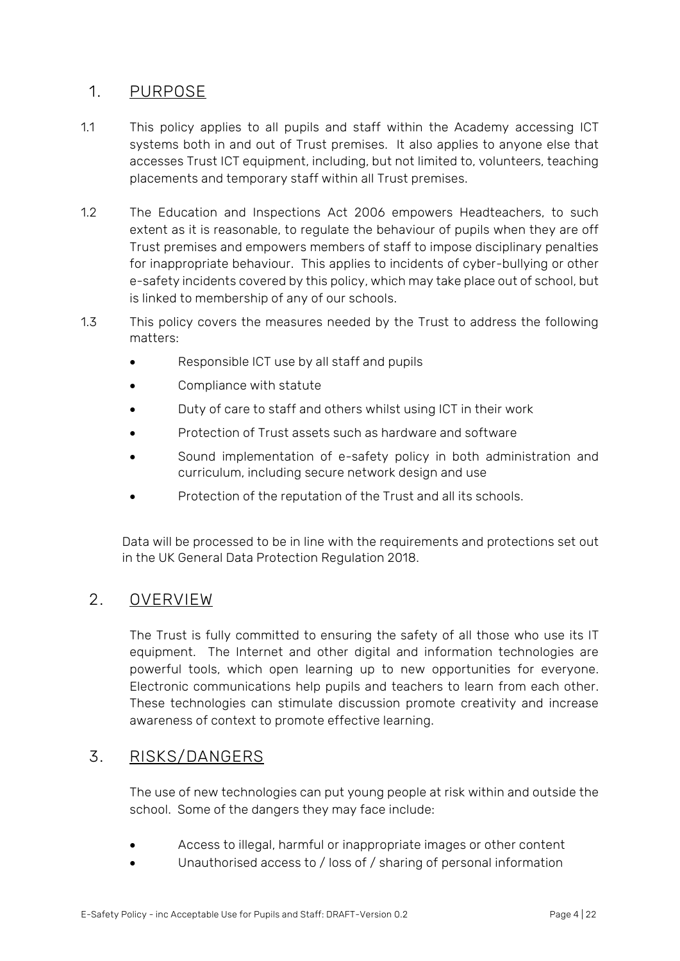## <span id="page-3-0"></span>**1. PURPOSE**

- 1.1 This policy applies to all pupils and staff within the Academy accessing ICT systems both in and out of Trust premises. It also applies to anyone else that accesses Trust ICT equipment, including, but not limited to, volunteers, teaching placements and temporary staff within all Trust premises.
- 1.2 The Education and Inspections Act 2006 empowers Headteachers, to such extent as it is reasonable, to regulate the behaviour of pupils when they are off Trust premises and empowers members of staff to impose disciplinary penalties for inappropriate behaviour. This applies to incidents of cyber-bullying or other e-safety incidents covered by this policy, which may take place out of school, but is linked to membership of any of our schools.
- 1.3 This policy covers the measures needed by the Trust to address the following matters:
	- Responsible ICT use by all staff and pupils
	- Compliance with statute
	- Duty of care to staff and others whilst using ICT in their work
	- Protection of Trust assets such as hardware and software
	- Sound implementation of e-safety policy in both administration and curriculum, including secure network design and use
	- Protection of the reputation of the Trust and all its schools.

Data will be processed to be in line with the requirements and protections set out in the UK General Data Protection Regulation 2018.

#### <span id="page-3-1"></span>**2. OVERVIEW**

The Trust is fully committed to ensuring the safety of all those who use its IT equipment. The Internet and other digital and information technologies are powerful tools, which open learning up to new opportunities for everyone. Electronic communications help pupils and teachers to learn from each other. These technologies can stimulate discussion promote creativity and increase awareness of context to promote effective learning.

#### <span id="page-3-2"></span>**3. RISKS/DANGERS**

The use of new technologies can put young people at risk within and outside the school. Some of the dangers they may face include:

- Access to illegal, harmful or inappropriate images or other content
- Unauthorised access to / loss of / sharing of personal information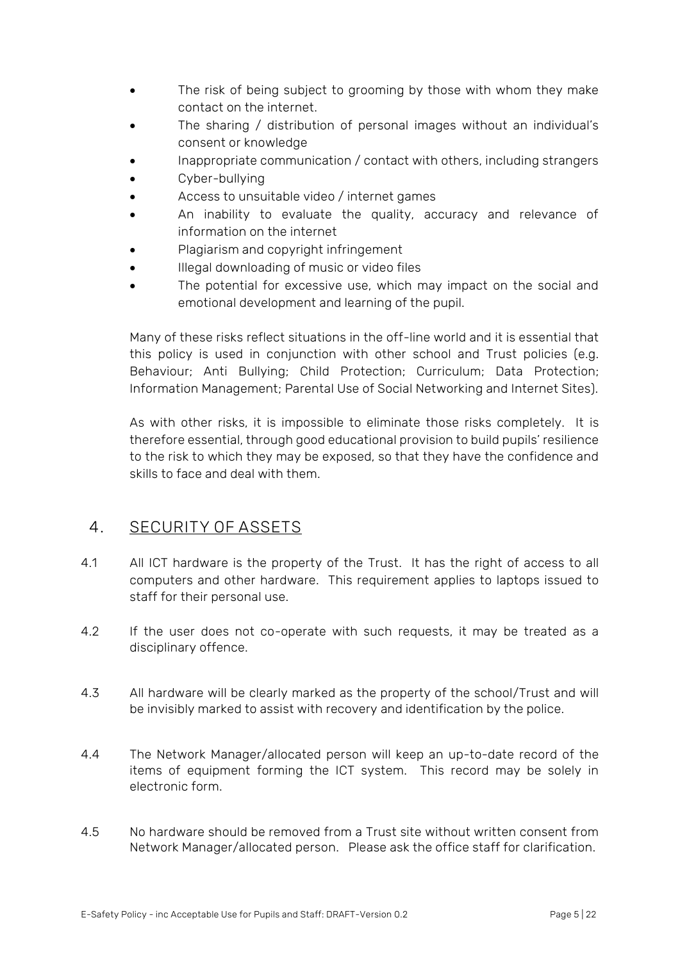- The risk of being subject to grooming by those with whom they make contact on the internet.
- The sharing / distribution of personal images without an individual's consent or knowledge
- Inappropriate communication / contact with others, including strangers
- Cyber-bullying
- Access to unsuitable video / internet games
- An inability to evaluate the quality, accuracy and relevance of information on the internet
- Plagiarism and copyright infringement
- Illegal downloading of music or video files
- The potential for excessive use, which may impact on the social and emotional development and learning of the pupil.

Many of these risks reflect situations in the off-line world and it is essential that this policy is used in conjunction with other school and Trust policies (e.g. Behaviour; Anti Bullying; Child Protection; Curriculum; Data Protection; Information Management; Parental Use of Social Networking and Internet Sites).

As with other risks, it is impossible to eliminate those risks completely. It is therefore essential, through good educational provision to build pupils' resilience to the risk to which they may be exposed, so that they have the confidence and skills to face and deal with them.

#### <span id="page-4-0"></span>**4. SECURITY OF ASSETS**

- 4.1 All ICT hardware is the property of the Trust. It has the right of access to all computers and other hardware. This requirement applies to laptops issued to staff for their personal use.
- 4.2 If the user does not co-operate with such requests, it may be treated as a disciplinary offence.
- 4.3 All hardware will be clearly marked as the property of the school/Trust and will be invisibly marked to assist with recovery and identification by the police.
- 4.4 The Network Manager/allocated person will keep an up-to-date record of the items of equipment forming the ICT system. This record may be solely in electronic form.
- 4.5 No hardware should be removed from a Trust site without written consent from Network Manager/allocated person. Please ask the office staff for clarification.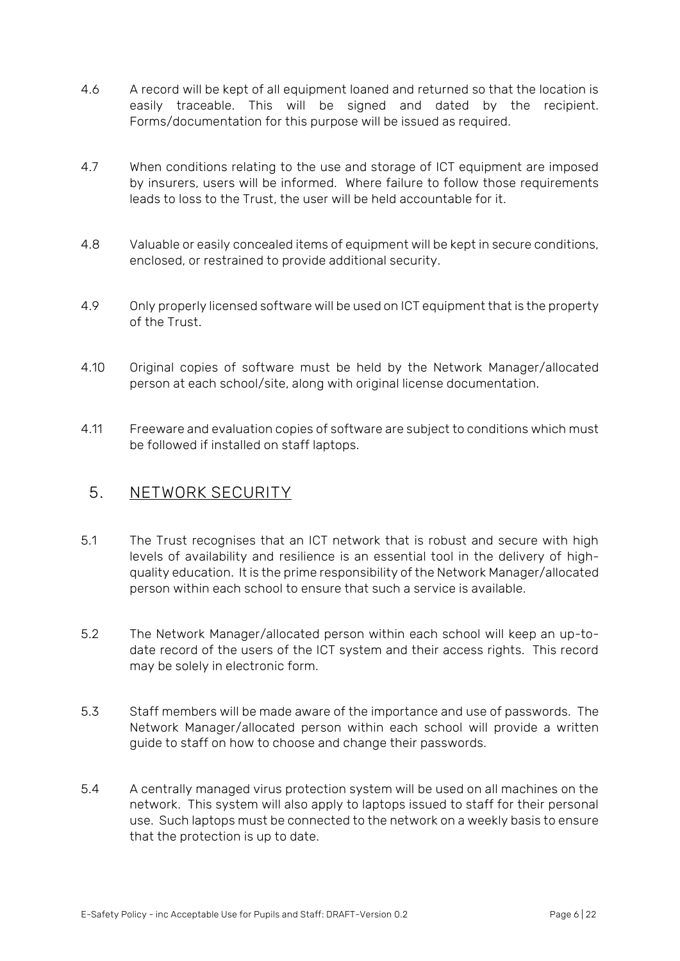- 4.6 A record will be kept of all equipment loaned and returned so that the location is easily traceable. This will be signed and dated by the recipient. Forms/documentation for this purpose will be issued as required.
- 4.7 When conditions relating to the use and storage of ICT equipment are imposed by insurers, users will be informed. Where failure to follow those requirements leads to loss to the Trust, the user will be held accountable for it.
- 4.8 Valuable or easily concealed items of equipment will be kept in secure conditions, enclosed, or restrained to provide additional security.
- 4.9 Only properly licensed software will be used on ICT equipment that is the property of the Trust.
- 4.10 Original copies of software must be held by the Network Manager/allocated person at each school/site, along with original license documentation.
- 4.11 Freeware and evaluation copies of software are subject to conditions which must be followed if installed on staff laptops.

#### <span id="page-5-0"></span>**5. NETWORK SECURITY**

- 5.1 The Trust recognises that an ICT network that is robust and secure with high levels of availability and resilience is an essential tool in the delivery of highquality education. It is the prime responsibility of the Network Manager/allocated person within each school to ensure that such a service is available.
- 5.2 The Network Manager/allocated person within each school will keep an up-todate record of the users of the ICT system and their access rights. This record may be solely in electronic form.
- 5.3 Staff members will be made aware of the importance and use of passwords. The Network Manager/allocated person within each school will provide a written guide to staff on how to choose and change their passwords.
- 5.4 A centrally managed virus protection system will be used on all machines on the network. This system will also apply to laptops issued to staff for their personal use. Such laptops must be connected to the network on a weekly basis to ensure that the protection is up to date.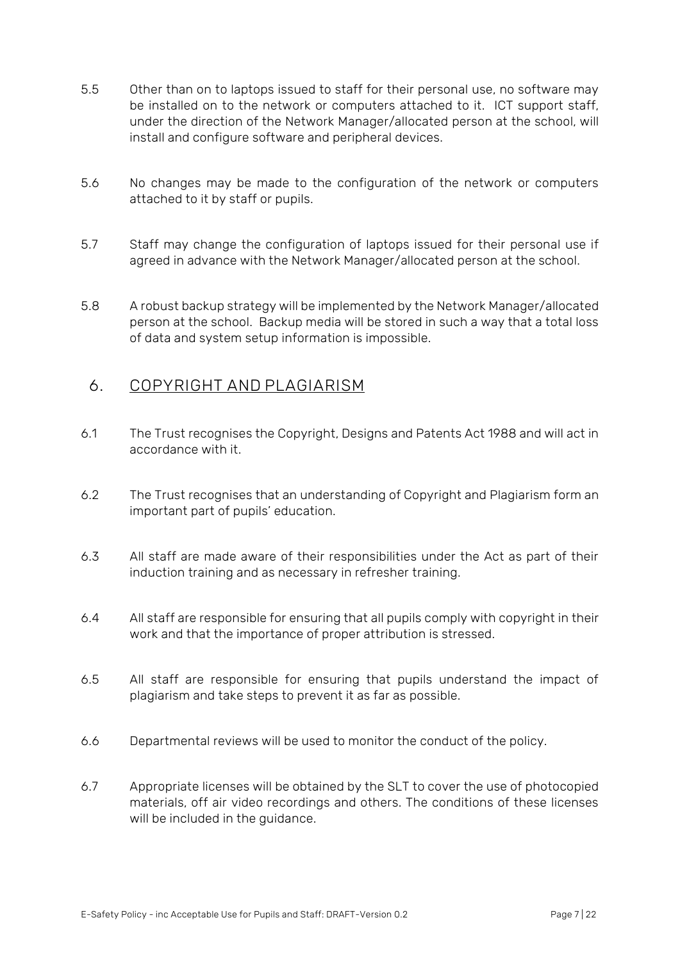- 5.5 Other than on to laptops issued to staff for their personal use, no software may be installed on to the network or computers attached to it. ICT support staff, under the direction of the Network Manager/allocated person at the school, will install and configure software and peripheral devices.
- 5.6 No changes may be made to the configuration of the network or computers attached to it by staff or pupils.
- 5.7 Staff may change the configuration of laptops issued for their personal use if agreed in advance with the Network Manager/allocated person at the school.
- 5.8 A robust backup strategy will be implemented by the Network Manager/allocated person at the school. Backup media will be stored in such a way that a total loss of data and system setup information is impossible.

#### <span id="page-6-0"></span>**6. COPYRIGHT AND PLAGIARISM**

- 6.1 The Trust recognises the Copyright, Designs and Patents Act 1988 and will act in accordance with it.
- 6.2 The Trust recognises that an understanding of Copyright and Plagiarism form an important part of pupils' education.
- 6.3 All staff are made aware of their responsibilities under the Act as part of their induction training and as necessary in refresher training.
- 6.4 All staff are responsible for ensuring that all pupils comply with copyright in their work and that the importance of proper attribution is stressed.
- 6.5 All staff are responsible for ensuring that pupils understand the impact of plagiarism and take steps to prevent it as far as possible.
- 6.6 Departmental reviews will be used to monitor the conduct of the policy.
- 6.7 Appropriate licenses will be obtained by the SLT to cover the use of photocopied materials, off air video recordings and others. The conditions of these licenses will be included in the quidance.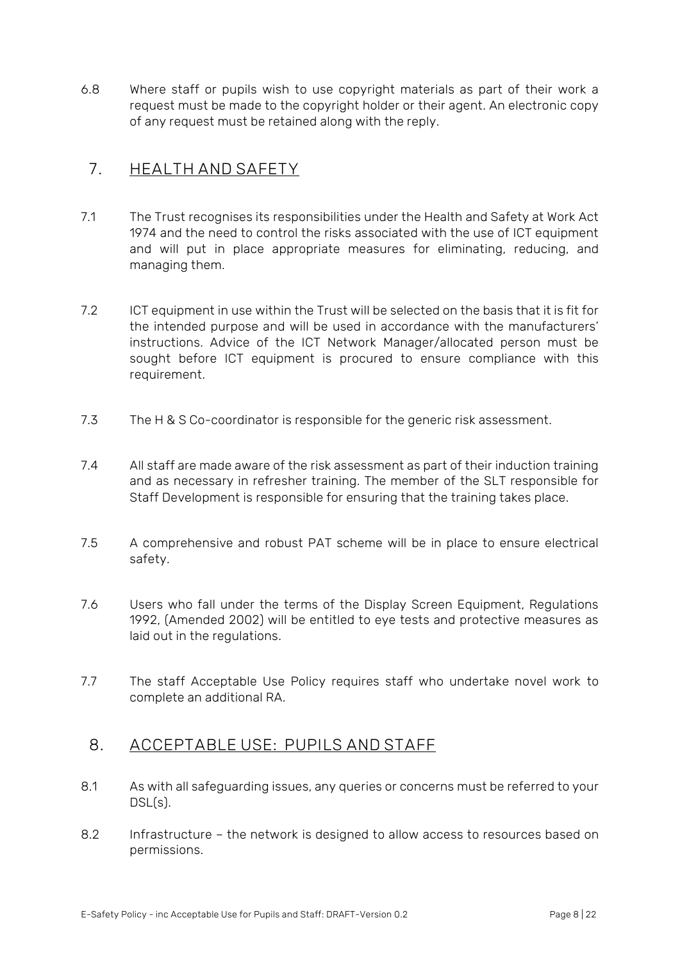6.8 Where staff or pupils wish to use copyright materials as part of their work a request must be made to the copyright holder or their agent. An electronic copy of any request must be retained along with the reply.

### <span id="page-7-0"></span>**7. HEALTH AND SAFETY**

- 7.1 The Trust recognises its responsibilities under the Health and Safety at Work Act 1974 and the need to control the risks associated with the use of ICT equipment and will put in place appropriate measures for eliminating, reducing, and managing them.
- 7.2 ICT equipment in use within the Trust will be selected on the basis that it is fit for the intended purpose and will be used in accordance with the manufacturers' instructions. Advice of the ICT Network Manager/allocated person must be sought before ICT equipment is procured to ensure compliance with this requirement.
- 7.3 The H & S Co-coordinator is responsible for the generic risk assessment.
- 7.4 All staff are made aware of the risk assessment as part of their induction training and as necessary in refresher training. The member of the SLT responsible for Staff Development is responsible for ensuring that the training takes place.
- 7.5 A comprehensive and robust PAT scheme will be in place to ensure electrical safety.
- 7.6 Users who fall under the terms of the Display Screen Equipment, Regulations 1992, (Amended 2002) will be entitled to eye tests and protective measures as laid out in the regulations.
- 7.7 The staff Acceptable Use Policy requires staff who undertake novel work to complete an additional RA.

#### <span id="page-7-1"></span>**8. ACCEPTABLE USE: PUPILS AND STAFF**

- 8.1 As with all safeguarding issues, any queries or concerns must be referred to your DSL(s).
- 8.2 Infrastructure the network is designed to allow access to resources based on permissions.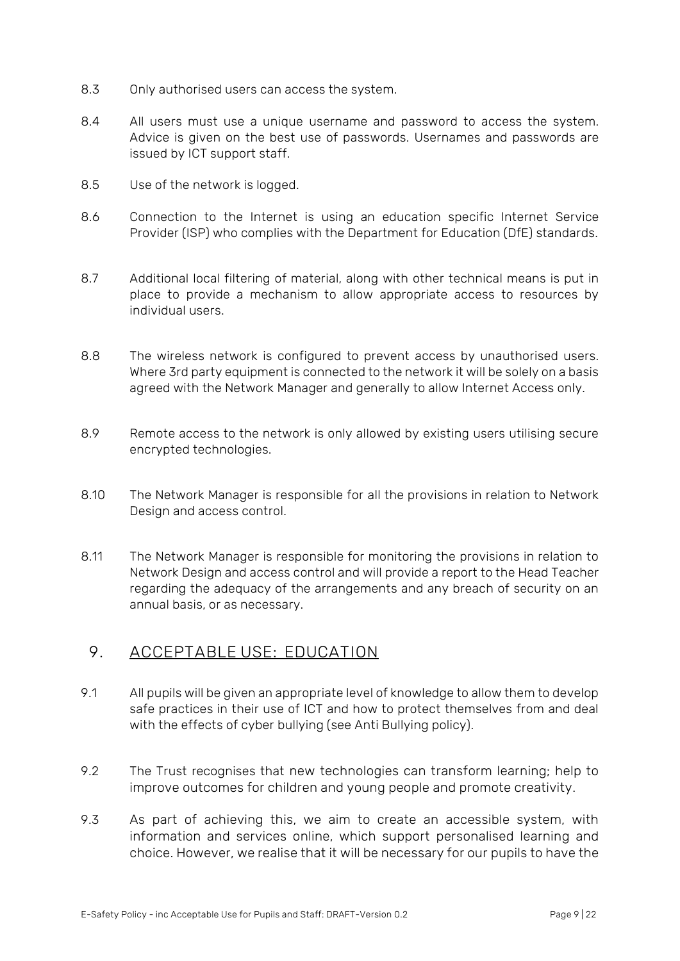- 8.3 Only authorised users can access the system.
- 8.4 All users must use a unique username and password to access the system. Advice is given on the best use of passwords. Usernames and passwords are issued by ICT support staff.
- 8.5 Use of the network is logged.
- 8.6 Connection to the Internet is using an education specific Internet Service Provider (ISP) who complies with the Department for Education (DfE) standards.
- 8.7 Additional local filtering of material, along with other technical means is put in place to provide a mechanism to allow appropriate access to resources by individual users.
- 8.8 The wireless network is configured to prevent access by unauthorised users. Where 3rd party equipment is connected to the network it will be solely on a basis agreed with the Network Manager and generally to allow Internet Access only.
- 8.9 Remote access to the network is only allowed by existing users utilising secure encrypted technologies.
- 8.10 The Network Manager is responsible for all the provisions in relation to Network Design and access control.
- 8.11 The Network Manager is responsible for monitoring the provisions in relation to Network Design and access control and will provide a report to the Head Teacher regarding the adequacy of the arrangements and any breach of security on an annual basis, or as necessary.

#### <span id="page-8-0"></span>**9. ACCEPTABLE USE: EDUCATION**

- 9.1 All pupils will be given an appropriate level of knowledge to allow them to develop safe practices in their use of ICT and how to protect themselves from and deal with the effects of cyber bullying (see Anti Bullying policy).
- 9.2 The Trust recognises that new technologies can transform learning; help to improve outcomes for children and young people and promote creativity.
- 9.3 As part of achieving this, we aim to create an accessible system, with information and services online, which support personalised learning and choice. However, we realise that it will be necessary for our pupils to have the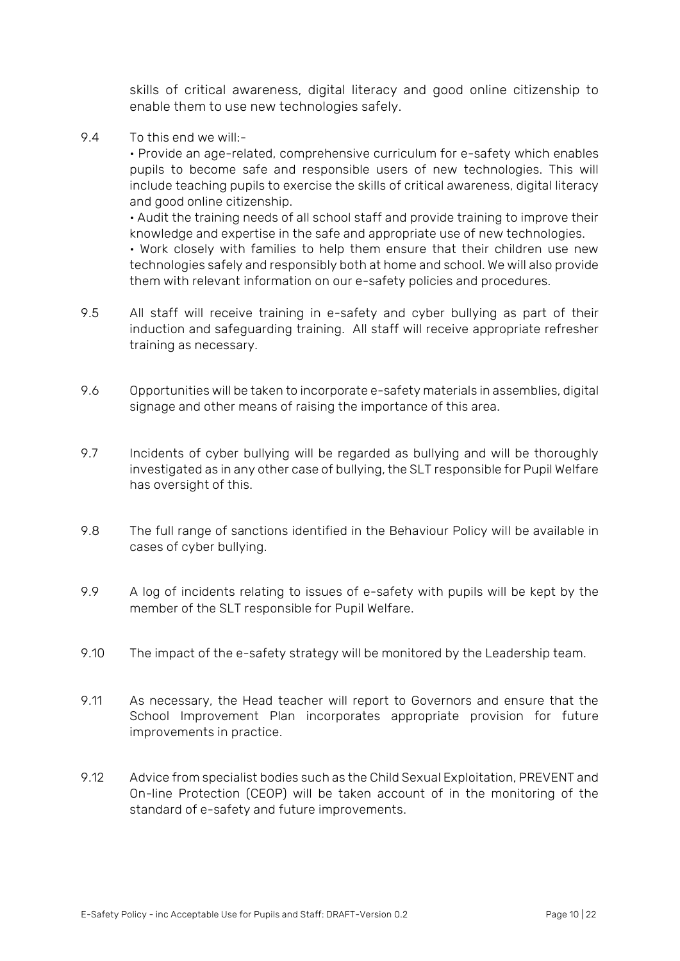skills of critical awareness, digital literacy and good online citizenship to enable them to use new technologies safely.

9.4 To this end we will:-

• Provide an age-related, comprehensive curriculum for e-safety which enables pupils to become safe and responsible users of new technologies. This will include teaching pupils to exercise the skills of critical awareness, digital literacy and good online citizenship.

• Audit the training needs of all school staff and provide training to improve their knowledge and expertise in the safe and appropriate use of new technologies.

• Work closely with families to help them ensure that their children use new technologies safely and responsibly both at home and school. We will also provide them with relevant information on our e-safety policies and procedures.

- 9.5 All staff will receive training in e-safety and cyber bullying as part of their induction and safeguarding training. All staff will receive appropriate refresher training as necessary.
- 9.6 Opportunities will be taken to incorporate e-safety materials in assemblies, digital signage and other means of raising the importance of this area.
- 9.7 Incidents of cyber bullying will be regarded as bullying and will be thoroughly investigated as in any other case of bullying, the SLT responsible for Pupil Welfare has oversight of this.
- 9.8 The full range of sanctions identified in the Behaviour Policy will be available in cases of cyber bullying.
- 9.9 A log of incidents relating to issues of e-safety with pupils will be kept by the member of the SLT responsible for Pupil Welfare.
- 9.10 The impact of the e-safety strategy will be monitored by the Leadership team.
- 9.11 As necessary, the Head teacher will report to Governors and ensure that the School Improvement Plan incorporates appropriate provision for future improvements in practice.
- 9.12 Advice from specialist bodies such as the Child Sexual Exploitation, PREVENT and On-line Protection (CEOP) will be taken account of in the monitoring of the standard of e-safety and future improvements.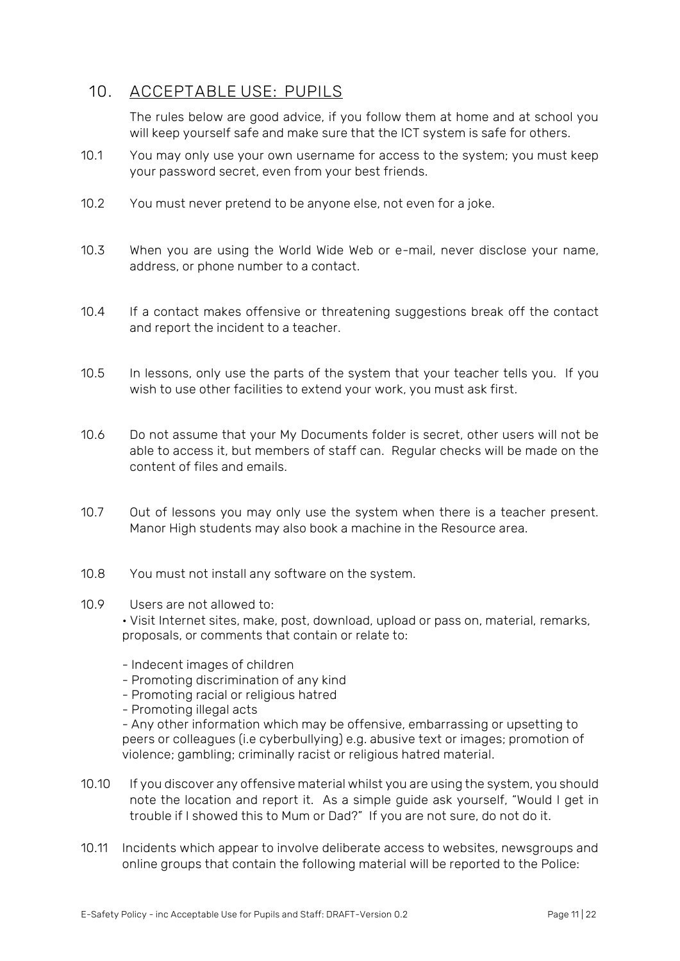### <span id="page-10-0"></span>**10. ACCEPTABLE USE: PUPILS**

The rules below are good advice, if you follow them at home and at school you will keep yourself safe and make sure that the ICT system is safe for others.

- 10.1 You may only use your own username for access to the system; you must keep your password secret, even from your best friends.
- 10.2 You must never pretend to be anyone else, not even for a joke.
- 10.3 When you are using the World Wide Web or e-mail, never disclose your name, address, or phone number to a contact.
- 10.4 If a contact makes offensive or threatening suggestions break off the contact and report the incident to a teacher.
- 10.5 In lessons, only use the parts of the system that your teacher tells you. If you wish to use other facilities to extend your work, you must ask first.
- 10.6 Do not assume that your My Documents folder is secret, other users will not be able to access it, but members of staff can. Regular checks will be made on the content of files and emails.
- 10.7 Out of lessons you may only use the system when there is a teacher present. Manor High students may also book a machine in the Resource area.
- 10.8 You must not install any software on the system.

#### 10.9 Users are not allowed to:

• Visit Internet sites, make, post, download, upload or pass on, material, remarks, proposals, or comments that contain or relate to:

- Indecent images of children
- Promoting discrimination of any kind
- Promoting racial or religious hatred
- Promoting illegal acts

- Any other information which may be offensive, embarrassing or upsetting to peers or colleagues (i.e cyberbullying) e.g. abusive text or images; promotion of violence; gambling; criminally racist or religious hatred material.

- 10.10 If you discover any offensive material whilst you are using the system, you should note the location and report it. As a simple guide ask yourself, "Would I get in trouble if I showed this to Mum or Dad?" If you are not sure, do not do it.
- 10.11 Incidents which appear to involve deliberate access to websites, newsgroups and online groups that contain the following material will be reported to the Police: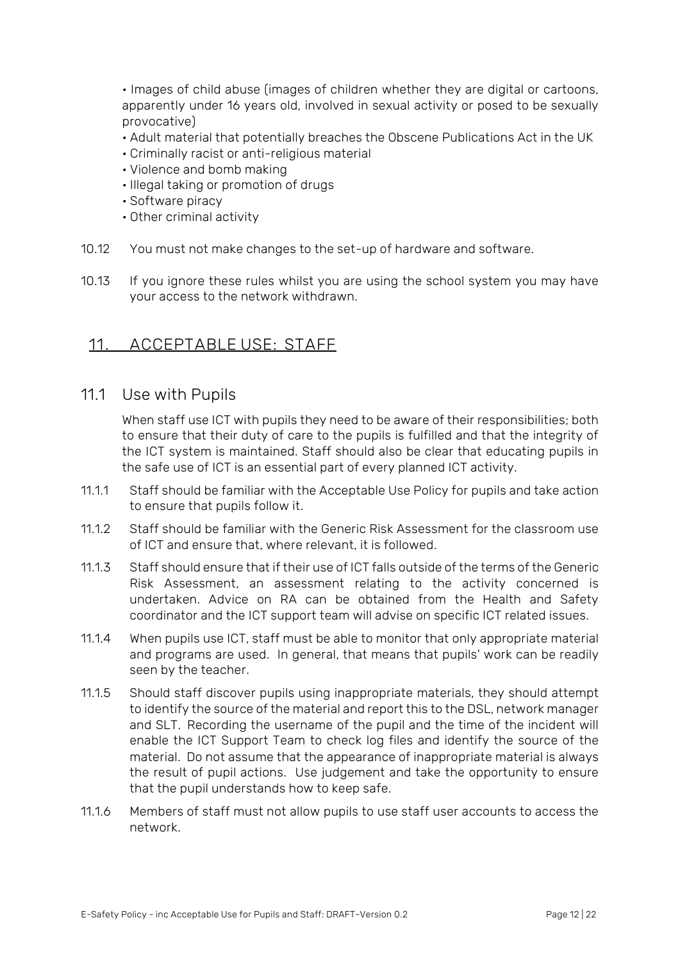• Images of child abuse (images of children whether they are digital or cartoons, apparently under 16 years old, involved in sexual activity or posed to be sexually provocative)

- Adult material that potentially breaches the Obscene Publications Act in the UK
- Criminally racist or anti-religious material
- Violence and bomb making
- Illegal taking or promotion of drugs
- Software piracy
- Other criminal activity
- 10.12 You must not make changes to the set-up of hardware and software.
- 10.13 If you ignore these rules whilst you are using the school system you may have your access to the network withdrawn.

#### <span id="page-11-0"></span>**11. ACCEPTABLE USE: STAFF**

11.1 Use with Pupils

When staff use ICT with pupils they need to be aware of their responsibilities; both to ensure that their duty of care to the pupils is fulfilled and that the integrity of the ICT system is maintained. Staff should also be clear that educating pupils in the safe use of ICT is an essential part of every planned ICT activity.

- 11.1.1 Staff should be familiar with the Acceptable Use Policy for pupils and take action to ensure that pupils follow it.
- 11.1.2 Staff should be familiar with the Generic Risk Assessment for the classroom use of ICT and ensure that, where relevant, it is followed.
- 11.1.3 Staff should ensure that if their use of ICT falls outside of the terms of the Generic Risk Assessment, an assessment relating to the activity concerned is undertaken. Advice on RA can be obtained from the Health and Safety coordinator and the ICT support team will advise on specific ICT related issues.
- 11.1.4 When pupils use ICT, staff must be able to monitor that only appropriate material and programs are used. In general, that means that pupils' work can be readily seen by the teacher.
- 11.1.5 Should staff discover pupils using inappropriate materials, they should attempt to identify the source of the material and report this to the DSL, network manager and SLT. Recording the username of the pupil and the time of the incident will enable the ICT Support Team to check log files and identify the source of the material. Do not assume that the appearance of inappropriate material is always the result of pupil actions. Use judgement and take the opportunity to ensure that the pupil understands how to keep safe.
- 11.1.6 Members of staff must not allow pupils to use staff user accounts to access the network.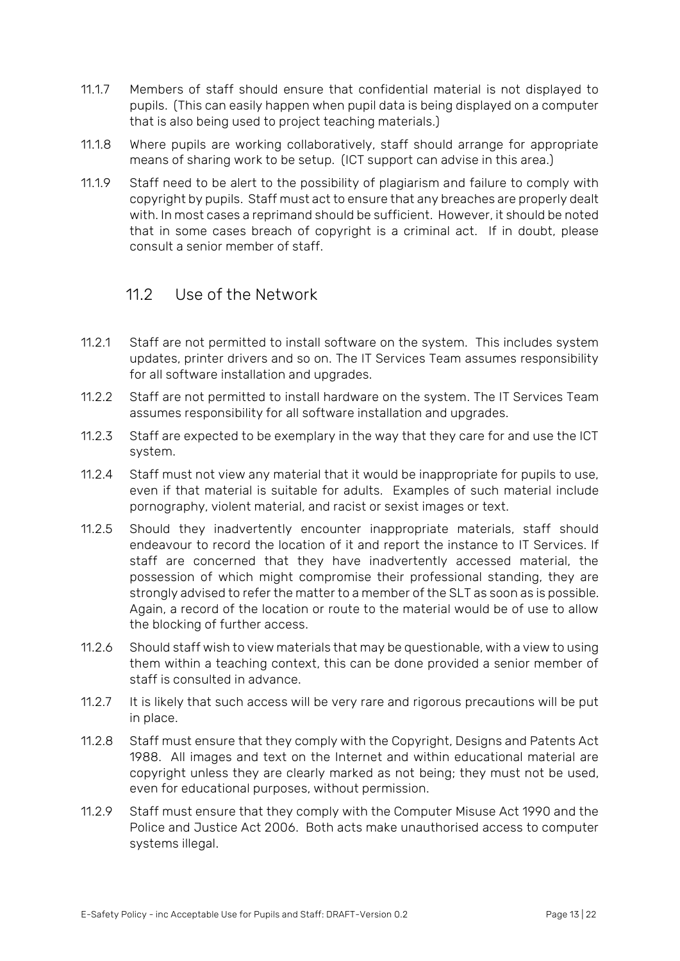- 11.1.7 Members of staff should ensure that confidential material is not displayed to pupils. (This can easily happen when pupil data is being displayed on a computer that is also being used to project teaching materials.)
- 11.1.8 Where pupils are working collaboratively, staff should arrange for appropriate means of sharing work to be setup. (ICT support can advise in this area.)
- 11.1.9 Staff need to be alert to the possibility of plagiarism and failure to comply with copyright by pupils. Staff must act to ensure that any breaches are properly dealt with. In most cases a reprimand should be sufficient. However, it should be noted that in some cases breach of copyright is a criminal act. If in doubt, please consult a senior member of staff.

### 11.2 Use of the Network

- 11.2.1 Staff are not permitted to install software on the system. This includes system updates, printer drivers and so on. The IT Services Team assumes responsibility for all software installation and upgrades.
- 11.2.2 Staff are not permitted to install hardware on the system. The IT Services Team assumes responsibility for all software installation and upgrades.
- 11.2.3 Staff are expected to be exemplary in the way that they care for and use the ICT system.
- 11.2.4 Staff must not view any material that it would be inappropriate for pupils to use, even if that material is suitable for adults. Examples of such material include pornography, violent material, and racist or sexist images or text.
- 11.2.5 Should they inadvertently encounter inappropriate materials, staff should endeavour to record the location of it and report the instance to IT Services. If staff are concerned that they have inadvertently accessed material, the possession of which might compromise their professional standing, they are strongly advised to refer the matter to a member of the SLT as soon as is possible. Again, a record of the location or route to the material would be of use to allow the blocking of further access.
- 11.2.6 Should staff wish to view materials that may be questionable, with a view to using them within a teaching context, this can be done provided a senior member of staff is consulted in advance.
- 11.2.7 It is likely that such access will be very rare and rigorous precautions will be put in place.
- 11.2.8 Staff must ensure that they comply with the Copyright, Designs and Patents Act 1988. All images and text on the Internet and within educational material are copyright unless they are clearly marked as not being; they must not be used, even for educational purposes, without permission.
- 11.2.9 Staff must ensure that they comply with the Computer Misuse Act 1990 and the Police and Justice Act 2006. Both acts make unauthorised access to computer systems illegal.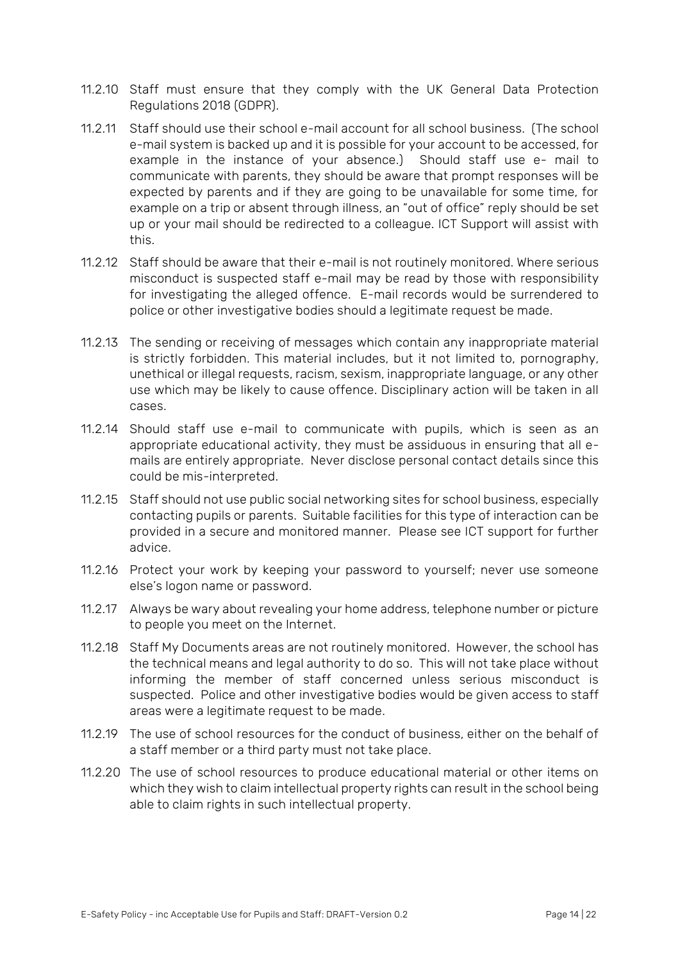- 11.2.10 Staff must ensure that they comply with the UK General Data Protection Regulations 2018 (GDPR).
- 11.2.11 Staff should use their school e-mail account for all school business. (The school e-mail system is backed up and it is possible for your account to be accessed, for example in the instance of your absence.) Should staff use e- mail to communicate with parents, they should be aware that prompt responses will be expected by parents and if they are going to be unavailable for some time, for example on a trip or absent through illness, an "out of office" reply should be set up or your mail should be redirected to a colleague. ICT Support will assist with this.
- 11.2.12 Staff should be aware that their e-mail is not routinely monitored. Where serious misconduct is suspected staff e-mail may be read by those with responsibility for investigating the alleged offence. E-mail records would be surrendered to police or other investigative bodies should a legitimate request be made.
- 11.2.13 The sending or receiving of messages which contain any inappropriate material is strictly forbidden. This material includes, but it not limited to, pornography, unethical or illegal requests, racism, sexism, inappropriate language, or any other use which may be likely to cause offence. Disciplinary action will be taken in all cases.
- 11.2.14 Should staff use e-mail to communicate with pupils, which is seen as an appropriate educational activity, they must be assiduous in ensuring that all emails are entirely appropriate. Never disclose personal contact details since this could be mis-interpreted.
- 11.2.15 Staff should not use public social networking sites for school business, especially contacting pupils or parents. Suitable facilities for this type of interaction can be provided in a secure and monitored manner. Please see ICT support for further advice.
- 11.2.16 Protect your work by keeping your password to yourself; never use someone else's logon name or password.
- 11.2.17 Always be wary about revealing your home address, telephone number or picture to people you meet on the Internet.
- 11.2.18 Staff My Documents areas are not routinely monitored. However, the school has the technical means and legal authority to do so. This will not take place without informing the member of staff concerned unless serious misconduct is suspected. Police and other investigative bodies would be given access to staff areas were a legitimate request to be made.
- 11.2.19 The use of school resources for the conduct of business, either on the behalf of a staff member or a third party must not take place.
- 11.2.20 The use of school resources to produce educational material or other items on which they wish to claim intellectual property rights can result in the school being able to claim rights in such intellectual property.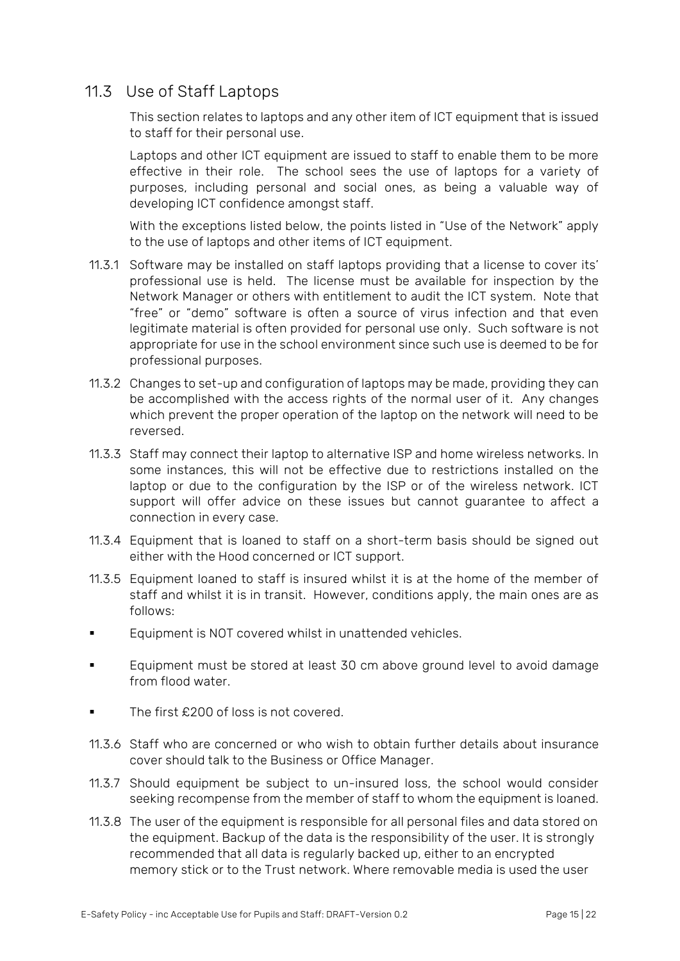## 11.3 Use of Staff Laptops

This section relates to laptops and any other item of ICT equipment that is issued to staff for their personal use.

Laptops and other ICT equipment are issued to staff to enable them to be more effective in their role. The school sees the use of laptops for a variety of purposes, including personal and social ones, as being a valuable way of developing ICT confidence amongst staff.

With the exceptions listed below, the points listed in "Use of the Network" apply to the use of laptops and other items of ICT equipment.

- 11.3.1 Software may be installed on staff laptops providing that a license to cover its' professional use is held. The license must be available for inspection by the Network Manager or others with entitlement to audit the ICT system. Note that "free" or "demo" software is often a source of virus infection and that even legitimate material is often provided for personal use only. Such software is not appropriate for use in the school environment since such use is deemed to be for professional purposes.
- 11.3.2 Changes to set-up and configuration of laptops may be made, providing they can be accomplished with the access rights of the normal user of it. Any changes which prevent the proper operation of the laptop on the network will need to be reversed.
- 11.3.3 Staff may connect their laptop to alternative ISP and home wireless networks. In some instances, this will not be effective due to restrictions installed on the laptop or due to the configuration by the ISP or of the wireless network. ICT support will offer advice on these issues but cannot guarantee to affect a connection in every case.
- 11.3.4 Equipment that is loaned to staff on a short-term basis should be signed out either with the Hood concerned or ICT support.
- 11.3.5 Equipment loaned to staff is insured whilst it is at the home of the member of staff and whilst it is in transit. However, conditions apply, the main ones are as follows:
- Equipment is NOT covered whilst in unattended vehicles.
- Equipment must be stored at least 30 cm above ground level to avoid damage from flood water.
- The first  $£200$  of loss is not covered.
- 11.3.6 Staff who are concerned or who wish to obtain further details about insurance cover should talk to the Business or Office Manager.
- 11.3.7 Should equipment be subject to un-insured loss, the school would consider seeking recompense from the member of staff to whom the equipment is loaned.
- 11.3.8 The user of the equipment is responsible for all personal files and data stored on the equipment. Backup of the data is the responsibility of the user. It is strongly recommended that all data is regularly backed up, either to an encrypted memory stick or to the Trust network. Where removable media is used the user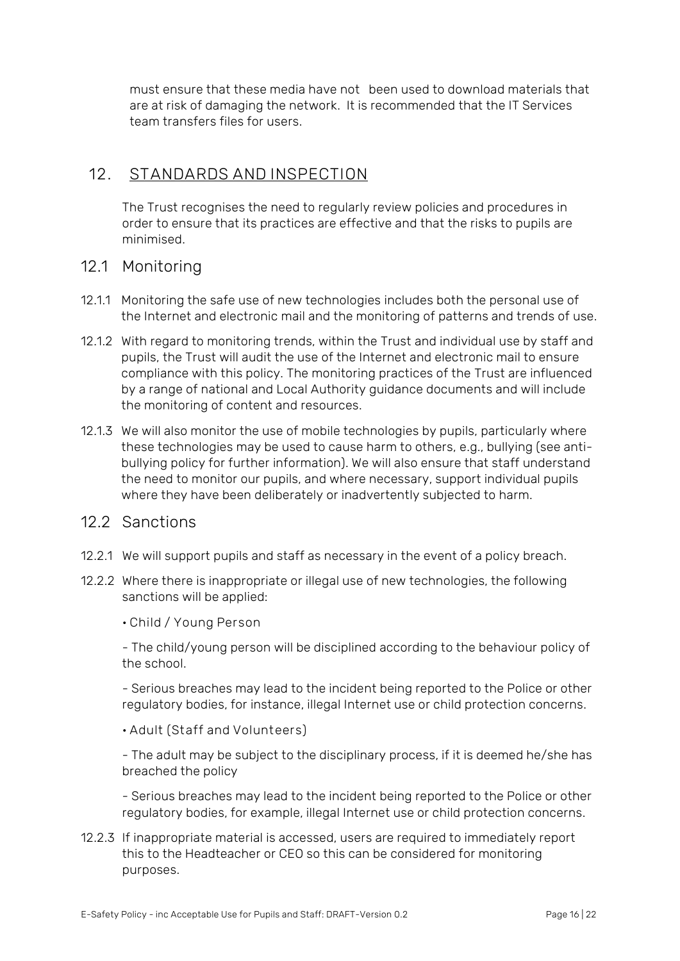must ensure that these media have not been used to download materials that are at risk of damaging the network. It is recommended that the IT Services team transfers files for users.

#### <span id="page-15-0"></span>**12. STANDARDS AND INSPECTION**

The Trust recognises the need to regularly review policies and procedures in order to ensure that its practices are effective and that the risks to pupils are minimised.

#### 12.1 Monitoring

- 12.1.1 Monitoring the safe use of new technologies includes both the personal use of the Internet and electronic mail and the monitoring of patterns and trends of use.
- 12.1.2 With regard to monitoring trends, within the Trust and individual use by staff and pupils, the Trust will audit the use of the Internet and electronic mail to ensure compliance with this policy. The monitoring practices of the Trust are influenced by a range of national and Local Authority guidance documents and will include the monitoring of content and resources.
- 12.1.3 We will also monitor the use of mobile technologies by pupils, particularly where these technologies may be used to cause harm to others, e.g., bullying (see antibullying policy for further information). We will also ensure that staff understand the need to monitor our pupils, and where necessary, support individual pupils where they have been deliberately or inadvertently subjected to harm.

## 12.2 Sanctions

- 12.2.1 We will support pupils and staff as necessary in the event of a policy breach.
- 12.2.2 Where there is inappropriate or illegal use of new technologies, the following sanctions will be applied:

**• Child / Young Person**

- The child/young person will be disciplined according to the behaviour policy of the school.

- Serious breaches may lead to the incident being reported to the Police or other regulatory bodies, for instance, illegal Internet use or child protection concerns.

**• Adult (Staff and Volunteers)**

- The adult may be subject to the disciplinary process, if it is deemed he/she has breached the policy

- Serious breaches may lead to the incident being reported to the Police or other regulatory bodies, for example, illegal Internet use or child protection concerns.

#### 12.2.3 If inappropriate material is accessed, users are required to immediately report this to the Headteacher or CEO so this can be considered for monitoring purposes.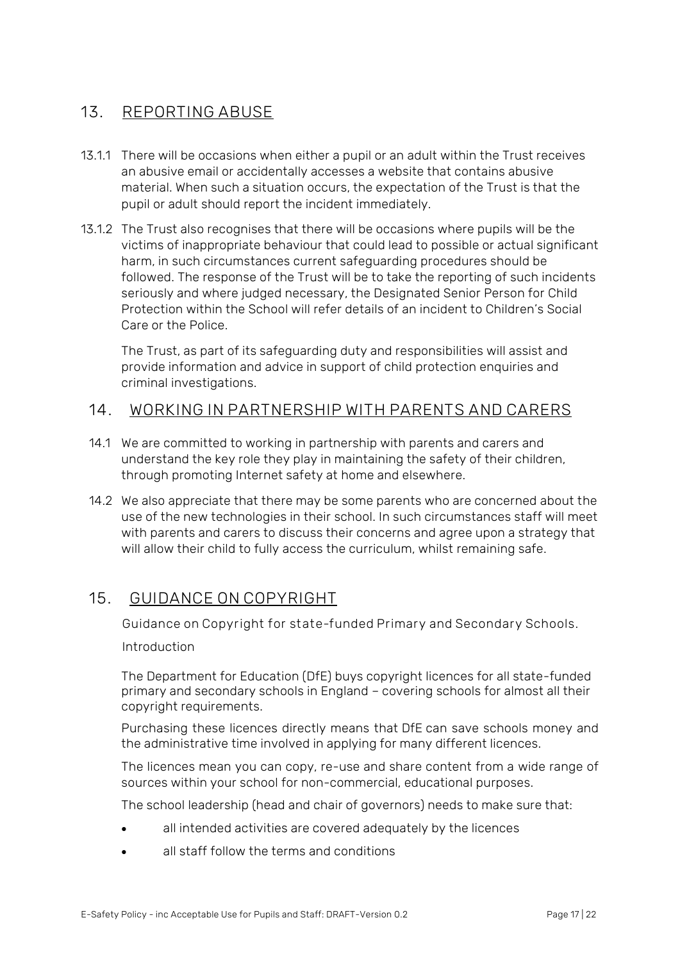## <span id="page-16-0"></span>**13. REPORTING ABUSE**

- 13.1.1 There will be occasions when either a pupil or an adult within the Trust receives an abusive email or accidentally accesses a website that contains abusive material. When such a situation occurs, the expectation of the Trust is that the pupil or adult should report the incident immediately.
- 13.1.2 The Trust also recognises that there will be occasions where pupils will be the victims of inappropriate behaviour that could lead to possible or actual significant harm, in such circumstances current safeguarding procedures should be followed. The response of the Trust will be to take the reporting of such incidents seriously and where judged necessary, the Designated Senior Person for Child Protection within the School will refer details of an incident to Children's Social Care or the Police.

The Trust, as part of its safeguarding duty and responsibilities will assist and provide information and advice in support of child protection enquiries and criminal investigations.

#### <span id="page-16-1"></span>**14. WORKING IN PARTNERSHIP WITH PARENTS AND CARERS**

- 14.1 We are committed to working in partnership with parents and carers and understand the key role they play in maintaining the safety of their children, through promoting Internet safety at home and elsewhere.
- 14.2 We also appreciate that there may be some parents who are concerned about the use of the new technologies in their school. In such circumstances staff will meet with parents and carers to discuss their concerns and agree upon a strategy that will allow their child to fully access the curriculum, whilst remaining safe.

#### <span id="page-16-2"></span>**15. GUIDANCE ON COPYRIGHT**

**Guidance on Copyright for state-funded Primary and Secondary Schools.** 

Introduction

The Department for Education (DfE) buys copyright licences for all state-funded primary and secondary schools in England – covering schools for almost all their copyright requirements.

Purchasing these licences directly means that DfE can save schools money and the administrative time involved in applying for many different licences.

The licences mean you can copy, re-use and share content from a wide range of sources within your school for non-commercial, educational purposes.

The school leadership (head and chair of governors) needs to make sure that:

- all intended activities are covered adequately by the licences
- all staff follow the terms and conditions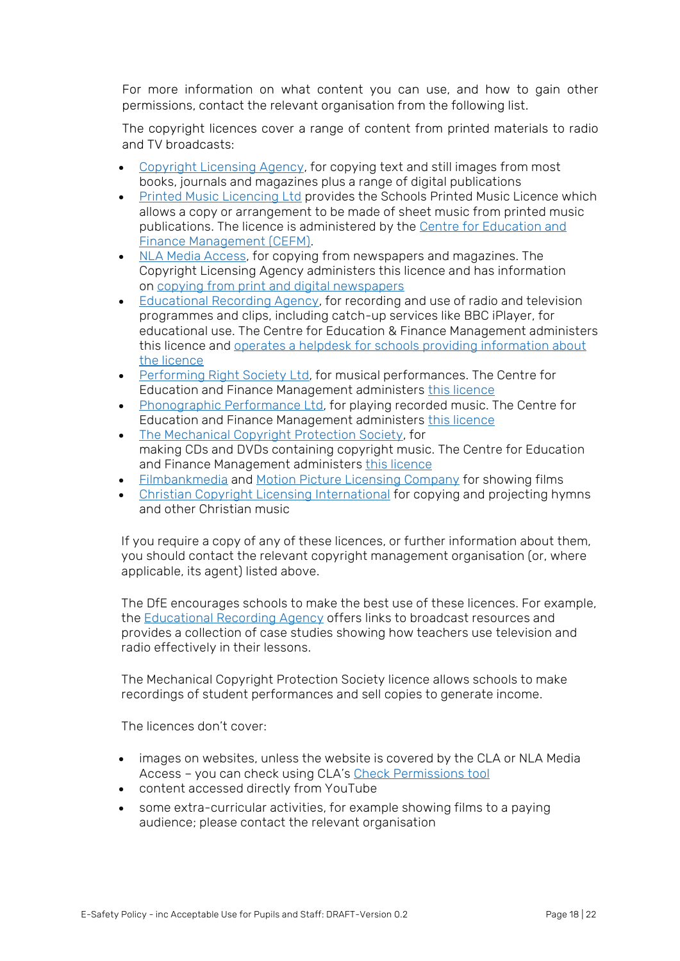For more information on what content you can use, and how to gain other permissions, contact the relevant organisation from the following list.

The copyright licences cover a range of content from printed materials to radio and TV broadcasts:

- [Copyright](https://www.cla.co.uk/cla-schools-licence) Licensing Agency, for copying text and still images from most books, journals and magazines plus a range of digital publications
- Printed Music [Licencing](https://www.printmusiclicensing.co.uk/for-schools/) Ltd provides the Schools Printed Music Licence which allows a copy or arrangement to be made of sheet music from printed music publications. The licence is administered by the Centre for [Education](https://cefm.co.uk/) and Finance [Management](https://cefm.co.uk/) (CEFM).
- NLA Media [Access,](http://www.newspapersforschools.co.uk/) for copying from newspapers and magazines. The Copyright Licensing Agency administers this licence and has information on copying from print and digital [newspapers](https://www.cla.co.uk/nla-schools-licence)
- [Educational](http://www.era.org.uk/) Recording Agency, for recording and use of radio and television programmes and clips, including catch-up services like BBC iPlayer, for educational use. The Centre for Education & Finance Management administers this licence and operates a helpdesk for schools providing [information](https://cefm.co.uk/licensing/era_schools/) about the [licence](https://cefm.co.uk/licensing/era_schools/)
- [Performing](http://www.prsformusic.com/) Right Society Ltd, for musical performances. The Centre for Education and Finance Management administers this [licence](https://cefm.co.uk/licensing/school/)
- [Phonographic](http://www.ppluk.com/) Performance Ltd, for playing recorded music. The Centre for Education and Finance Management administers this [licence](https://cefm.co.uk/licensing/pplschools/)
- The [Mechanical](http://www.prsformusic.com/) Copyright Protection Society, for making CDs and DVDs containing copyright music. The Centre for Education and Finance Management administers this [licence](https://cefm.co.uk/licensing/mcps/)
- [Filmbankmedia](https://www.filmbankmedia.com/licences/pvsl/education-sector/special-notices-english-schools/) and Motion Picture [Licensing](http://www.themplc.co.uk/) Company for showing films
- Christian Copyright Licensing [International](http://uk.ccli.com/) for copying and projecting hymns and other Christian music

If you require a copy of any of these licences, or further information about them, you should contact the relevant copyright management organisation (or, where applicable, its agent) listed above.

The DfE encourages schools to make the best use of these licences. For example, the [Educational](http://era.org.uk/) Recording Agency offers links to broadcast resources and provides a collection of case studies showing how teachers use television and radio effectively in their lessons.

The Mechanical Copyright Protection Society licence allows schools to make recordings of student performances and sell copies to generate income.

The licences don't cover:

- images on websites, unless the website is covered by the CLA or NLA Media Access – you can check using CLA's Check [Permissions](https://www.cla.co.uk/cla-schools-licence) tool
- content accessed directly from YouTube
- some extra-curricular activities, for example showing films to a paying audience; please contact the relevant organisation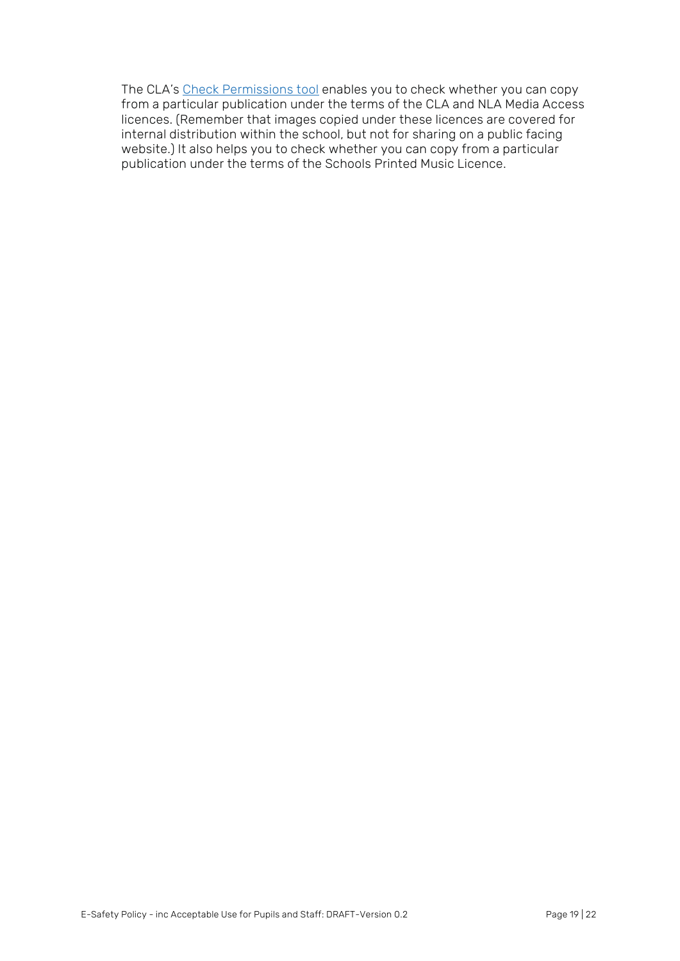The CLA's Check [Permissions](https://www.cla.co.uk/cla-schools-licence) tool enables you to check whether you can copy from a particular publication under the terms of the CLA and NLA Media Access licences. (Remember that images copied under these licences are covered for internal distribution within the school, but not for sharing on a public facing website.) It also helps you to check whether you can copy from a particular publication under the terms of the Schools Printed Music Licence.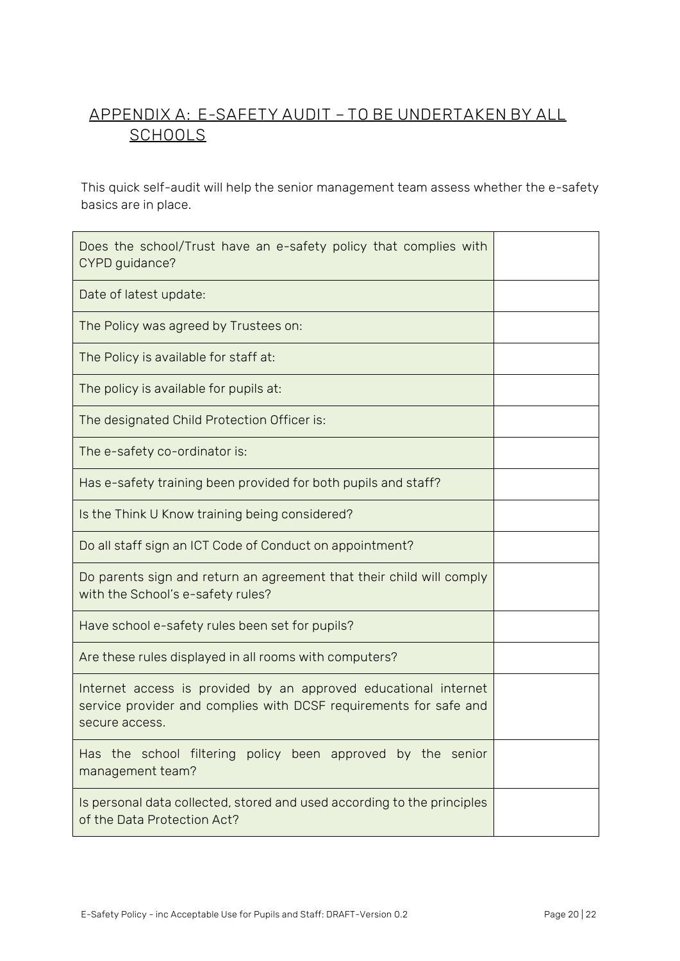## <span id="page-19-0"></span>**APPENDIX A: E-SAFETY AUDIT – TO BE UNDERTAKEN BY ALL SCHOOLS**

This quick self-audit will help the senior management team assess whether the e-safety basics are in place.

| Does the school/Trust have an e-safety policy that complies with<br>CYPD guidance?                                                                     |  |
|--------------------------------------------------------------------------------------------------------------------------------------------------------|--|
| Date of latest update:                                                                                                                                 |  |
| The Policy was agreed by Trustees on:                                                                                                                  |  |
| The Policy is available for staff at:                                                                                                                  |  |
| The policy is available for pupils at:                                                                                                                 |  |
| The designated Child Protection Officer is:                                                                                                            |  |
| The e-safety co-ordinator is:                                                                                                                          |  |
| Has e-safety training been provided for both pupils and staff?                                                                                         |  |
| Is the Think U Know training being considered?                                                                                                         |  |
| Do all staff sign an ICT Code of Conduct on appointment?                                                                                               |  |
| Do parents sign and return an agreement that their child will comply<br>with the School's e-safety rules?                                              |  |
| Have school e-safety rules been set for pupils?                                                                                                        |  |
| Are these rules displayed in all rooms with computers?                                                                                                 |  |
| Internet access is provided by an approved educational internet<br>service provider and complies with DCSF requirements for safe and<br>secure access. |  |
| Has the school filtering policy been approved by the senior<br>management team?                                                                        |  |
| Is personal data collected, stored and used according to the principles<br>of the Data Protection Act?                                                 |  |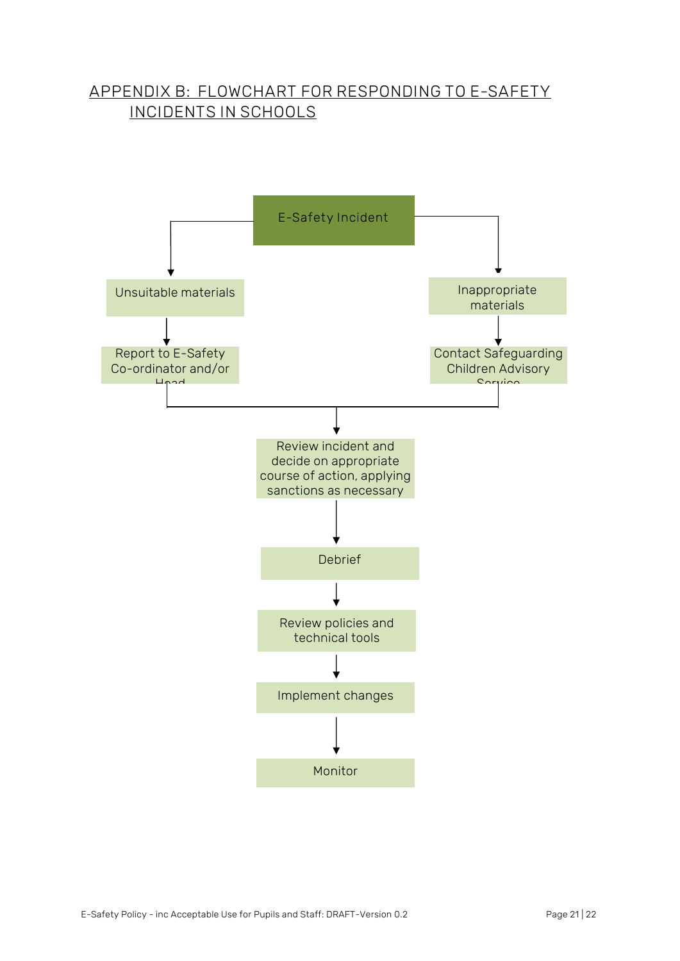## <span id="page-20-0"></span>**APPENDIX B: FLOWCHART FOR RESPONDING TO E-SAFETY INCIDENTS IN SCHOOLS**